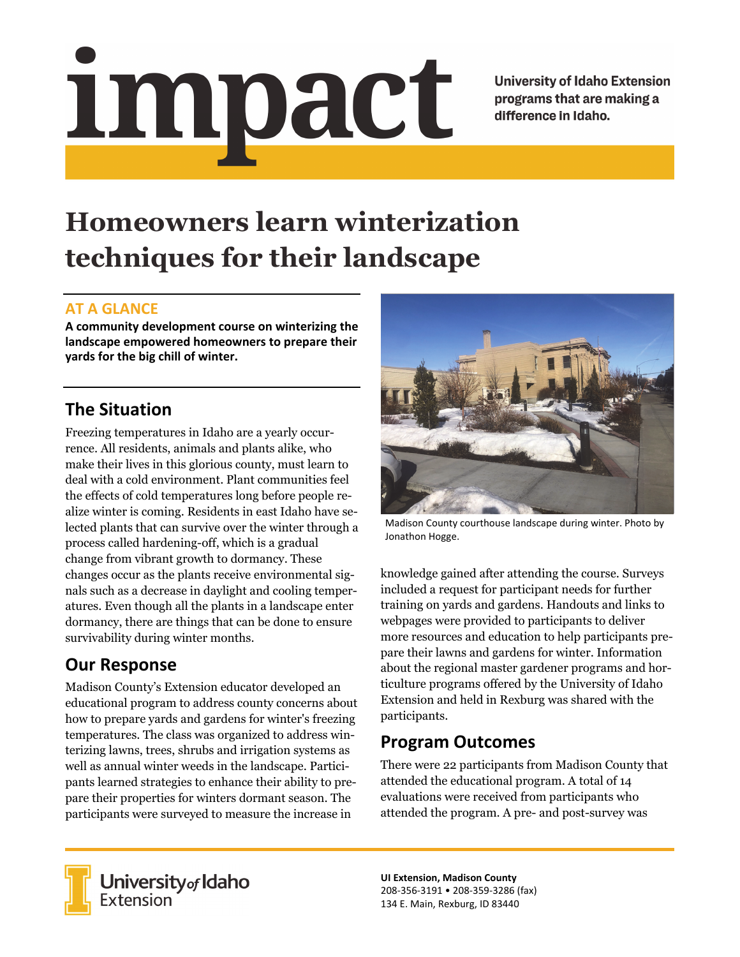<u>impact</u>

**University of Idaho Extension** programs that are making a difference in Idaho.

# **Homeowners learn winterization techniques for their landscape**

#### **AT A GLANCE**

**A community development course on winterizing the landscape empowered homeowners to prepare their yards for the big chill of winter.** 

### **The Situation**

Freezing temperatures in Idaho are a yearly occurrence. All residents, animals and plants alike, who make their lives in this glorious county, must learn to deal with a cold environment. Plant communities feel the effects of cold temperatures long before people realize winter is coming. Residents in east Idaho have selected plants that can survive over the winter through a process called hardening-off, which is a gradual change from vibrant growth to dormancy. These changes occur as the plants receive environmental signals such as a decrease in daylight and cooling temperatures. Even though all the plants in a landscape enter dormancy, there are things that can be done to ensure survivability during winter months.

### **Our Response**

Madison County's Extension educator developed an educational program to address county concerns about how to prepare yards and gardens for winter's freezing temperatures. The class was organized to address winterizing lawns, trees, shrubs and irrigation systems as well as annual winter weeds in the landscape. Participants learned strategies to enhance their ability to prepare their properties for winters dormant season. The participants were surveyed to measure the increase in



Madison County courthouse landscape during winter. Photo by Jonathon Hogge.

knowledge gained after attending the course. Surveys included a request for participant needs for further training on yards and gardens. Handouts and links to webpages were provided to participants to deliver more resources and education to help participants prepare their lawns and gardens for winter. Information about the regional master gardener programs and horticulture programs offered by the University of Idaho Extension and held in Rexburg was shared with the participants.

## **Program Outcomes**

There were 22 participants from Madison County that attended the educational program. A total of 14 evaluations were received from participants who attended the program. A pre- and post-survey was



**University** of Idaho<br>Extension

**UI Extension, Madison County**  208‐356‐3191 • 208‐359‐3286 (fax) 134 E. Main, Rexburg, ID 83440